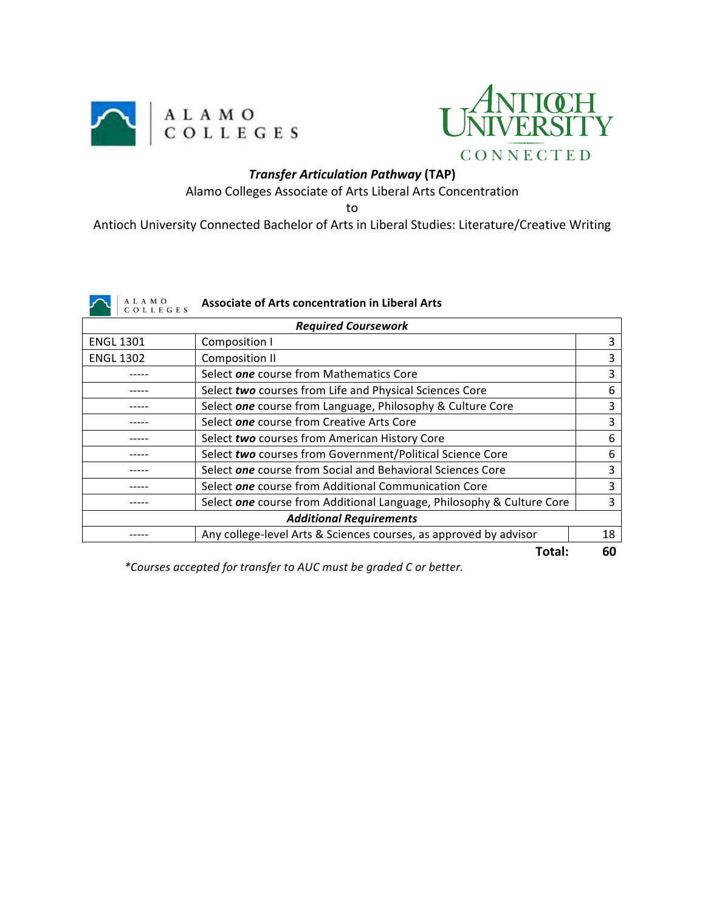



## *Transfer Articulation Pathway* **(TAP)**

Alamo Colleges Associate of Arts Liberal Arts Concentration

to

Antioch University Connected Bachelor of Arts in Liberal Studies: Literature/Creative Writing

|  | ٦ |
|--|---|
|  |   |

## A L A M O<br>C O L L E G E S **Associate of Arts concentration in Liberal Arts**

| <b>Required Coursework</b>     |                                                                       |    |  |  |  |
|--------------------------------|-----------------------------------------------------------------------|----|--|--|--|
| <b>ENGL 1301</b>               | Composition I                                                         | 3  |  |  |  |
| <b>ENGL 1302</b>               | Composition II                                                        | 3  |  |  |  |
|                                | Select one course from Mathematics Core                               | 3  |  |  |  |
|                                | Select two courses from Life and Physical Sciences Core               | 6  |  |  |  |
|                                | Select one course from Language, Philosophy & Culture Core            | 3  |  |  |  |
|                                | Select one course from Creative Arts Core                             | 3  |  |  |  |
|                                | Select two courses from American History Core                         | 6  |  |  |  |
|                                | Select two courses from Government/Political Science Core             | 6  |  |  |  |
|                                | Select one course from Social and Behavioral Sciences Core            | 3  |  |  |  |
|                                | Select one course from Additional Communication Core                  | 3  |  |  |  |
|                                | Select one course from Additional Language, Philosophy & Culture Core | 3  |  |  |  |
| <b>Additional Requirements</b> |                                                                       |    |  |  |  |
|                                | Any college-level Arts & Sciences courses, as approved by advisor     | 18 |  |  |  |
|                                | Total:                                                                | 60 |  |  |  |

*\*Courses accepted for transfer to AUC must be graded C or better.*